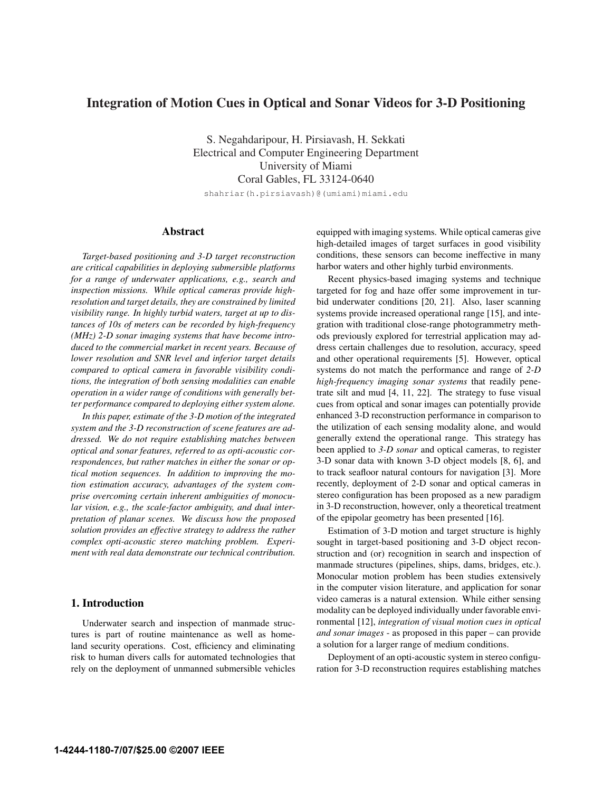# Integration of Motion Cues in Optical and Sonar Videos for 3-D Positioning

S. Negahdaripour, H. Pirsiavash, H. Sekkati Electrical and Computer Engineering Department University of Miami Coral Gables, FL 33124-0640

shahriar(h.pirsiavash)@(umiami)miami.edu

# Abstract

*Target-based positioning and 3-D target reconstruction are critical capabilities in deploying submersible platforms for a range of underwater applications, e.g., search and inspection missions. While optical cameras provide highresolution and target details, they are constrained by limited visibility range. In highly turbid waters, target at up to distances of 10s of meters can be recorded by high-frequency (MHz) 2-D sonar imaging systems that have become introduced to the commercial market in recent years. Because of lower resolution and SNR level and inferior target details compared to optical camera in favorable visibility conditions, the integration of both sensing modalities can enable operation in a wider range of conditions with generally better performance compared to deploying either system alone.*

*In this paper, estimate of the 3-D motion of the integrated system and the 3-D reconstruction of scene features are addressed. We do not require establishing matches between optical and sonar features, referred to as opti-acoustic correspondences, but rather matches in either the sonar or optical motion sequences. In addition to improving the motion estimation accuracy, advantages of the system comprise overcoming certain inherent ambiguities of monocular vision, e.g., the scale-factor ambiguity, and dual interpretation of planar scenes. We discuss how the proposed solution provides an effective strategy to address the rather complex opti-acoustic stereo matching problem. Experiment with real data demonstrate our technical contribution.*

## 1. Introduction

Underwater search and inspection of manmade structures is part of routine maintenance as well as homeland security operations. Cost, efficiency and eliminating risk to human divers calls for automated technologies that rely on the deployment of unmanned submersible vehicles

equipped with imaging systems. While optical cameras give high-detailed images of target surfaces in good visibility conditions, these sensors can become ineffective in many harbor waters and other highly turbid environments.

Recent physics-based imaging systems and technique targeted for fog and haze offer some improvement in turbid underwater conditions [20, 21]. Also, laser scanning systems provide increased operational range [15], and integration with traditional close-range photogrammetry methods previously explored for terrestrial application may address certain challenges due to resolution, accuracy, speed and other operational requirements [5]. However, optical systems do not match the performance and range of *2-D high-frequency imaging sonar systems* that readily penetrate silt and mud [4, 11, 22]. The strategy to fuse visual cues from optical and sonar images can potentially provide enhanced 3-D reconstruction performance in comparison to the utilization of each sensing modality alone, and would generally extend the operational range. This strategy has been applied to *3-D sonar* and optical cameras, to register 3-D sonar data with known 3-D object models [8, 6], and to track seafloor natural contours for navigation [3]. More recently, deployment of 2-D sonar and optical cameras in stereo configuration has been proposed as a new paradigm in 3-D reconstruction, however, only a theoretical treatment of the epipolar geometry has been presented [16].

Estimation of 3-D motion and target structure is highly sought in target-based positioning and 3-D object reconstruction and (or) recognition in search and inspection of manmade structures (pipelines, ships, dams, bridges, etc.). Monocular motion problem has been studies extensively in the computer vision literature, and application for sonar video cameras is a natural extension. While either sensing modality can be deployed individually under favorable environmental [12], *integration of visual motion cues in optical and sonar images* - as proposed in this paper – can provide a solution for a larger range of medium conditions.

Deployment of an opti-acoustic system in stereo configuration for 3-D reconstruction requires establishing matches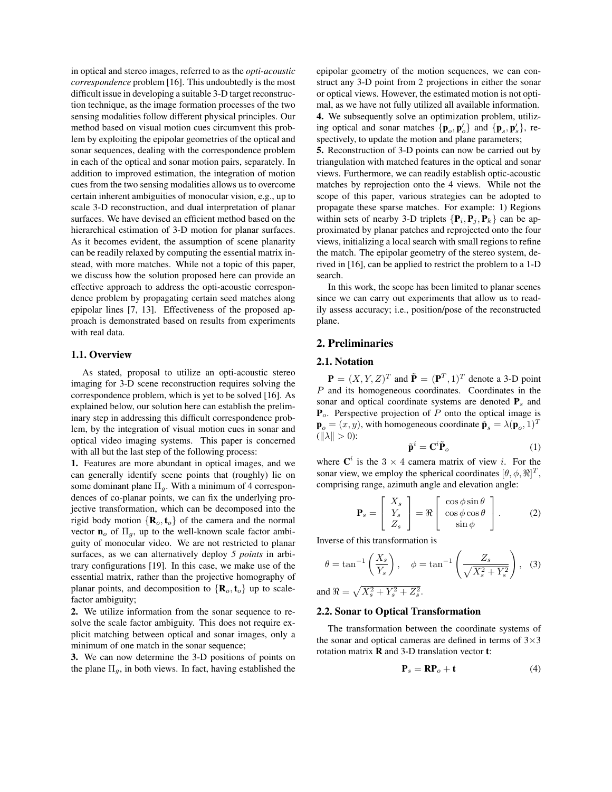in optical and stereo images, referred to as the *opti-acoustic correspondence* problem [16]. This undoubtedly is the most difficult issue in developing a suitable 3-D target reconstruction technique, as the image formation processes of the two sensing modalities follow different physical principles. Our method based on visual motion cues circumvent this problem by exploiting the epipolar geometries of the optical and sonar sequences, dealing with the correspondence problem in each of the optical and sonar motion pairs, separately. In addition to improved estimation, the integration of motion cues from the two sensing modalities allows us to overcome certain inherent ambiguities of monocular vision, e.g., up to scale 3-D reconstruction, and dual interpretation of planar surfaces. We have devised an efficient method based on the hierarchical estimation of 3-D motion for planar surfaces. As it becomes evident, the assumption of scene planarity can be readily relaxed by computing the essential matrix instead, with more matches. While not a topic of this paper, we discuss how the solution proposed here can provide an effective approach to address the opti-acoustic correspondence problem by propagating certain seed matches along epipolar lines [7, 13]. Effectiveness of the proposed approach is demonstrated based on results from experiments with real data.

## 1.1. Overview

As stated, proposal to utilize an opti-acoustic stereo imaging for 3-D scene reconstruction requires solving the correspondence problem, which is yet to be solved [16]. As explained below, our solution here can establish the preliminary step in addressing this difficult correspondence problem, by the integration of visual motion cues in sonar and optical video imaging systems. This paper is concerned with all but the last step of the following process:

1. Features are more abundant in optical images, and we can generally identify scene points that (roughly) lie on some dominant plane  $\Pi_q$ . With a minimum of 4 correspondences of co-planar points, we can fix the underlying projective transformation, which can be decomposed into the rigid body motion  $\{R_o, t_o\}$  of the camera and the normal vector  $\mathbf{n}_o$  of  $\Pi_g$ , up to the well-known scale factor ambiguity of monocular video. We are not restricted to planar surfaces, as we can alternatively deploy *5 points* in arbitrary configurations [19]. In this case, we make use of the essential matrix, rather than the projective homography of planar points, and decomposition to  $\{R_o, t_o\}$  up to scalefactor ambiguity;

2. We utilize information from the sonar sequence to resolve the scale factor ambiguity. This does not require explicit matching between optical and sonar images, only a minimum of one match in the sonar sequence;

3. We can now determine the 3-D positions of points on the plane  $\Pi_g$ , in both views. In fact, having established the epipolar geometry of the motion sequences, we can construct any 3-D point from 2 projections in either the sonar or optical views. However, the estimated motion is not optimal, as we have not fully utilized all available information. 4. We subsequently solve an optimization problem, utilizing optical and sonar matches  $\{ \mathbf{p}_o, \mathbf{p}'_o \}$  and  $\{ \mathbf{p}_s, \mathbf{p}'_s \}$ , respectively, to update the motion and plane parameters;

5. Reconstruction of 3-D points can now be carried out by triangulation with matched features in the optical and sonar views. Furthermore, we can readily establish optic-acoustic matches by reprojection onto the 4 views. While not the scope of this paper, various strategies can be adopted to propagate these sparse matches. For example: 1) Regions within sets of nearby 3-D triplets  $\{P_i, P_j, P_k\}$  can be approximated by planar patches and reprojected onto the four views, initializing a local search with small regions to refine the match. The epipolar geometry of the stereo system, derived in [16], can be applied to restrict the problem to a 1-D search.

In this work, the scope has been limited to planar scenes since we can carry out experiments that allow us to readily assess accuracy; i.e., position/pose of the reconstructed plane.

# 2. Preliminaries

## 2.1. Notation

 $\mathbf{P} = (X, Y, Z)^T$  and  $\tilde{\mathbf{P}} = (\mathbf{P}^T, 1)^T$  denote a 3-D point P and its homogeneous coordinates. Coordinates in the sonar and optical coordinate systems are denoted <sup>P</sup>*s* and <sup>P</sup>*o*. Perspective projection of <sup>P</sup> onto the optical image is  $\mathbf{p}_o = (x, y)$ , with homogeneous coordinate  $\tilde{\mathbf{p}}_s = \lambda(\mathbf{p}_o, 1)^T$  $(||\lambda|| > 0)$ :

$$
\tilde{\mathbf{p}}^i = \mathbf{C}^i \tilde{\mathbf{P}}_o \tag{1}
$$

where  $\mathbf{C}^i$  is the 3  $\times$  4 camera matrix of view *i*. For the sonar view, we employ the spherical coordinates  $[\theta, \phi, \Re]^T$ , comprising range, azimuth angle and elevation angle:

$$
\mathbf{P}_s = \begin{bmatrix} X_s \\ Y_s \\ Z_s \end{bmatrix} = \Re \begin{bmatrix} \cos \phi \sin \theta \\ \cos \phi \cos \theta \\ \sin \phi \end{bmatrix}.
$$
 (2)

Inverse of this transformation is

$$
\theta = \tan^{-1}\left(\frac{X_s}{Y_s}\right), \quad \phi = \tan^{-1}\left(\frac{Z_s}{\sqrt{X_s^2 + Y_s^2}}\right), \quad (3)
$$

and  $\Re = \sqrt{X_s^2 + Y_s^2 + Z_s^2}$ .

#### 2.2. Sonar to Optical Transformation

The transformation between the coordinate systems of the sonar and optical cameras are defined in terms of  $3\times3$ rotation matrix R and 3-D translation vector t:

$$
\mathbf{P}_s = \mathbf{R} \mathbf{P}_o + \mathbf{t} \tag{4}
$$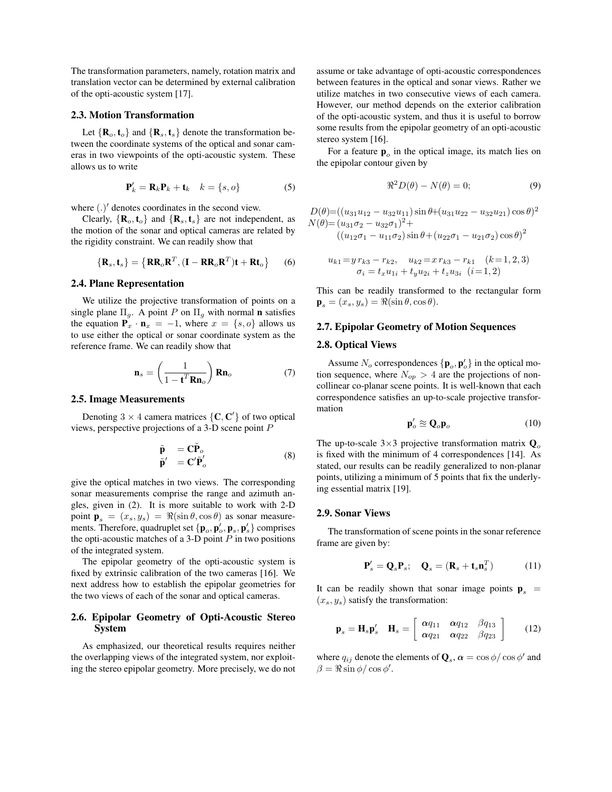The transformation parameters, namely, rotation matrix and translation vector can be determined by external calibration of the opti-acoustic system [17].

#### 2.3. Motion Transformation

Let  $\{R_o, t_o\}$  and  $\{R_s, t_s\}$  denote the transformation between the coordinate systems of the optical and sonar cameras in two viewpoints of the opti-acoustic system. These allows us to write

$$
\mathbf{P}'_k = \mathbf{R}_k \mathbf{P}_k + \mathbf{t}_k \quad k = \{s, o\} \tag{5}
$$

where  $(.)'$  denotes coordinates in the second view.

Clearly,  $\{R_o, t_o\}$  and  $\{R_s, t_s\}$  are not independent, as the motion of the sonar and optical cameras are related by the rigidity constraint. We can readily show that

$$
\{\mathbf{R}_s, \mathbf{t}_s\} = \{\mathbf{R}\mathbf{R}_o\mathbf{R}^T, (\mathbf{I} - \mathbf{R}\mathbf{R}_o\mathbf{R}^T)\mathbf{t} + \mathbf{R}\mathbf{t}_o\}
$$
 (6)

#### 2.4. Plane Representation

We utilize the projective transformation of points on a single plane  $\Pi_g$ . A point P on  $\Pi_g$  with normal **n** satisfies the equation  $P_x \cdot n_x = -1$ , where  $x = \{s, o\}$  allows us to use either the optical or sonar coordinate system as the reference frame. We can readily show that

$$
\mathbf{n}_s = \left(\frac{1}{1 - \mathbf{t}^T \mathbf{R} \mathbf{n}_o}\right) \mathbf{R} \mathbf{n}_o \tag{7}
$$

#### 2.5. Image Measurements

Denoting  $3 \times 4$  camera matrices  $\{C, C'\}$  of two optical views, perspective projections of a 3-D scene point P

$$
\tilde{\mathbf{p}} = \mathbf{C}\tilde{\mathbf{P}}_o \n\tilde{\mathbf{p}}' = \mathbf{C}'\tilde{\mathbf{P}}'_o
$$
\n(8)

give the optical matches in two views. The corresponding sonar measurements comprise the range and azimuth angles, given in (2). It is more suitable to work with 2-D point  $\mathbf{p}_s = (x_s, y_s) = \Re(\sin \theta, \cos \theta)$  as sonar measure-<br>ments. Therefore, quadruplet set  $f \mathbf{n} \cdot \mathbf{n}' \cdot \mathbf{n} \cdot \mathbf{n}'$  comprises ments. Therefore, quadruplet set  $\{p_0, p'_0, p_s, p'_s\}$  comprises<br>the onti-gooustic matches of a 3. D point *P* in two positions the opti-acoustic matches of a 3-D point  $P$  in two positions of the integrated system.

The epipolar geometry of the opti-acoustic system is fixed by extrinsic calibration of the two cameras [16]. We next address how to establish the epipolar geometries for the two views of each of the sonar and optical cameras.

## 2.6. Epipolar Geometry of Opti-Acoustic Stereo System

As emphasized, our theoretical results requires neither the overlapping views of the integrated system, nor exploiting the stereo epipolar geometry. More precisely, we do not assume or take advantage of opti-acoustic correspondences between features in the optical and sonar views. Rather we utilize matches in two consecutive views of each camera. However, our method depends on the exterior calibration of the opti-acoustic system, and thus it is useful to borrow some results from the epipolar geometry of an opti-acoustic stereo system [16].

For a feature  $\mathbf{p}_o$  in the optical image, its match lies on animalar contour given by the epipolar contour given by

$$
\Re^2 D(\theta) - N(\theta) = 0; \tag{9}
$$

 $D(\theta) = ((u_{31}u_{12} - u_{32}u_{11}) \sin \theta + (u_{31}u_{22} - u_{32}u_{21}) \cos \theta)^2$  $N(\theta) = (u_{31}\sigma_2 - u_{32}\sigma_1)^2 +$  $((u_{12}\sigma_1 - u_{11}\sigma_2)\sin\theta + (u_{22}\sigma_1 - u_{21}\sigma_2)\cos\theta)^2$ 

$$
u_{k1} = y r_{k3} - r_{k2}, \quad u_{k2} = x r_{k3} - r_{k1} \quad (k = 1, 2, 3)
$$

$$
\sigma_i = t_x u_{1i} + t_y u_{2i} + t_z u_{3i} \quad (i = 1, 2)
$$

This can be readily transformed to the rectangular form  $\mathbf{p}_s = (x_s, y_s) = \Re(\sin \theta, \cos \theta).$ 

#### 2.7. Epipolar Geometry of Motion Sequences

### 2.8. Optical Views

Assume  $N_o$  correspondences  $\{p_o, p'_o\}$  in the optical motion sequence, where  $N_{op} > 4$  are the projections of noncollinear co-planar scene points. It is well-known that each correspondence satisfies an up-to-scale projective transformation

$$
\mathbf{p}'_o \cong \mathbf{Q}_o \mathbf{p}_o \tag{10}
$$

The up-to-scale  $3\times3$  projective transformation matrix  $\mathbf{Q}_{\alpha}$ is fixed with the minimum of 4 correspondences [14]. As stated, our results can be readily generalized to non-planar points, utilizing a minimum of 5 points that fix the underlying essential matrix [19].

## 2.9. Sonar Views

The transformation of scene points in the sonar reference frame are given by:

$$
\mathbf{P}'_s = \mathbf{Q}_s \mathbf{P}_s; \quad \mathbf{Q}_s = (\mathbf{R}_s + \mathbf{t}_s \mathbf{n}_s^T) \tag{11}
$$

It can be readily shown that sonar image points  $\mathbf{p}_s = (x, y)$  satisfy the transformation:  $(x_s, y_s)$  satisfy the transformation:

$$
\mathbf{p}_s = \mathbf{H}_s \mathbf{p}_s' \quad \mathbf{H}_s = \left[ \begin{array}{cc} \alpha q_{11} & \alpha q_{12} & \beta q_{13} \\ \alpha q_{21} & \alpha q_{22} & \beta q_{23} \end{array} \right] \tag{12}
$$

where  $q_{ij}$  denote the elements of  $\mathbf{Q}_s$ ,  $\alpha = \cos \phi / \cos \phi'$  and  $\beta = \Re \sin \phi / \cos \phi'.$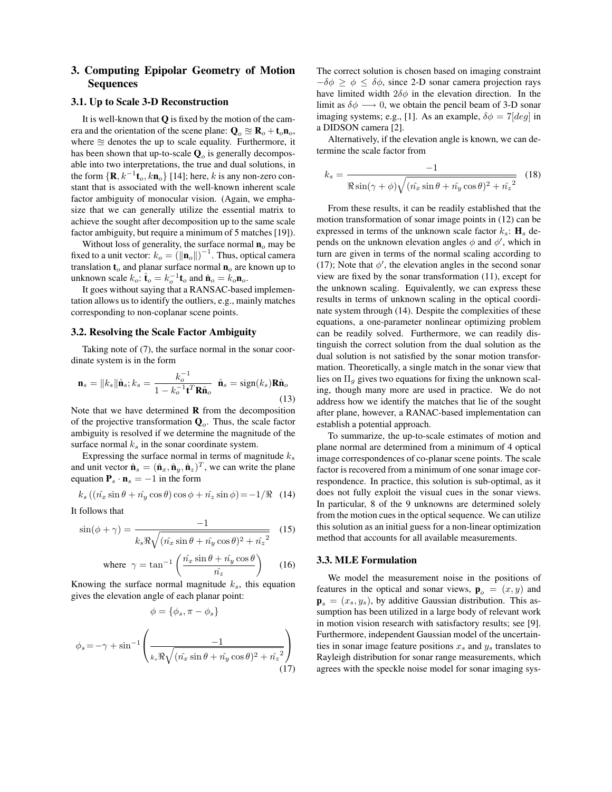# 3. Computing Epipolar Geometry of Motion Sequences

### 3.1. Up to Scale 3-D Reconstruction

It is well-known that  $Q$  is fixed by the motion of the camera and the orientation of the scene plane:  $Q_0 \approx R_o + t_o n_o$ , where  $\approx$  denotes the up to scale equality. Furthermore, it has been shown that up-to-scale <sup>Q</sup>*o* is generally decomposable into two interpretations, the true and dual solutions, in the form  $\{R, k^{-1}t_o, k n_o\}$  [14]; here, k is any non-zero constant that is associated with the well-known inherent scale factor ambiguity of monocular vision. (Again, we emphasize that we can generally utilize the essential matrix to achieve the sought after decomposition up to the same scale factor ambiguity, but require a minimum of 5 matches [19]).

Without loss of generality, the surface normal <sup>n</sup>*o* may be fixed to a unit vector:  $k_o = (\|\mathbf{n}_o\|)^{-1}$ . Thus, optical camera<br>translation **t** and planar surface normal **p** are known up to translation  $t<sub>o</sub>$  and planar surface normal  $n<sub>o</sub>$  are known up to unknown scale  $k_o$ :  $\hat{\mathbf{t}}_o = k_o^{-1} \mathbf{t}_o$  and  $\hat{\mathbf{n}}_o = k_o \mathbf{n}_o$ .

It goes without saying that a RANSAC-based implementation allows us to identify the outliers, e.g., mainly matches corresponding to non-coplanar scene points.

#### 3.2. Resolving the Scale Factor Ambiguity

Taking note of (7), the surface normal in the sonar coordinate system is in the form

$$
\mathbf{n}_s = ||k_s|| \hat{\mathbf{n}}_s; k_s = \frac{k_o^{-1}}{1 - k_o^{-1} \mathbf{t}^T \mathbf{R} \hat{\mathbf{n}}_o} \quad \hat{\mathbf{n}}_s = \text{sign}(k_s) \mathbf{R} \hat{\mathbf{n}}_o \tag{13}
$$

Note that we have determined  **from the decomposition** of the projective transformation <sup>Q</sup>*o*. Thus, the scale factor ambiguity is resolved if we determine the magnitude of the surface normal  $k<sub>s</sub>$  in the sonar coordinate system.

Expressing the surface normal in terms of magnitude <sup>k</sup>*s* and unit vector  $\hat{\mathbf{n}}_s = (\hat{\mathbf{n}}_x, \hat{\mathbf{n}}_y, \hat{\mathbf{n}}_z)^T$ , we can write the plane equation  $P_s \cdot n_s = -1$  in the form

$$
k_s\left((\hat{n_x}\sin\theta + \hat{n_y}\cos\theta)\cos\phi + \hat{n_z}\sin\phi\right) = -1/\Re \quad (14)
$$

It follows that

$$
\sin(\phi + \gamma) = \frac{-1}{k_s \Re \sqrt{(\hat{n}_x \sin \theta + \hat{n}_y \cos \theta)^2 + \hat{n}_z^2}} \quad (15)
$$

where 
$$
\gamma = \tan^{-1} \left( \frac{\hat{n}_x \sin \theta + \hat{n}_y \cos \theta}{\hat{n}_z} \right)
$$
 (16)

Knowing the surface normal magnitude  $k_s$ , this equation  $\tilde{c}$  and  $\tilde{c}$  and  $\tilde{c}$  and  $\tilde{c}$  and  $\tilde{c}$  and  $\tilde{c}$  and  $\tilde{c}$  and  $\tilde{c}$  and  $\tilde{c}$  and  $\tilde{c}$  and  $\tilde{c}$  and  $\tilde{c}$  and  $\tilde{c}$ gives the elevation angle of each planar point:

$$
\phi = \{\phi_s, \pi - \phi_s\}
$$

$$
\phi_s = -\gamma + \sin^{-1}\left(\frac{-1}{k_s \Re\sqrt{(\hat{n_x}\sin\theta + \hat{n_y}\cos\theta)^2 + \hat{n_z}^2}}\right)
$$
(17)

The correct solution is chosen based on imaging constraint  $-\delta\phi \ge \phi \le \delta\phi$ , since 2-D sonar camera projection rays have limited width  $2\delta\phi$  in the elevation direction. In the limit as  $\delta \phi \longrightarrow 0$ , we obtain the pencil beam of 3-D sonar imaging systems; e.g., [1]. As an example,  $\delta \phi = 7 \times d$  in a DIDSON camera [2].

Alternatively, if the elevation angle is known, we can determine the scale factor from

$$
k_s = \frac{-1}{\Re\sin(\gamma+\phi)\sqrt{(\hat{n_x}\sin\theta+\hat{n_y}\cos\theta)^2+\hat{n_z}^2}} \quad (18)
$$

From these results, it can be readily established that the motion transformation of sonar image points in (12) can be expressed in terms of the unknown scale factor  $k_s$ :  $\mathbf{H}_s$  depends on the unknown elevation angles  $\phi$  and  $\phi'$ , which in turn are given in terms of the normal scaling according to (17); Note that  $\phi'$ , the elevation angles in the second sonar view are fixed by the sonar transformation (11), except for the unknown scaling. Equivalently, we can express these results in terms of unknown scaling in the optical coordinate system through (14). Despite the complexities of these equations, a one-parameter nonlinear optimizing problem can be readily solved. Furthermore, we can readily distinguish the correct solution from the dual solution as the dual solution is not satisfied by the sonar motion transformation. Theoretically, a single match in the sonar view that lies on  $\Pi<sub>g</sub>$  gives two equations for fixing the unknown scaling, though many more are used in practice. We do not address how we identify the matches that lie of the sought after plane, however, a RANAC-based implementation can establish a potential approach.

To summarize, the up-to-scale estimates of motion and plane normal are determined from a minimum of 4 optical image correspondences of co-planar scene points. The scale factor is recovered from a minimum of one sonar image correspondence. In practice, this solution is sub-optimal, as it does not fully exploit the visual cues in the sonar views. In particular, 8 of the 9 unknowns are determined solely from the motion cues in the optical sequence. We can utilize this solution as an initial guess for a non-linear optimization method that accounts for all available measurements.

## 3.3. MLE Formulation

We model the measurement noise in the positions of features in the optical and sonar views,  $\mathbf{p}_o = (x, y)$  and<br> $\mathbf{p}_o = (x, y)$ , by additive Gaussian distribution. This as  $\mathbf{p}_s = (x_s, y_s)$ , by additive Gaussian distribution. This assumption has been utilized in a large body of relevant work in motion vision research with satisfactory results; see [9]. Furthermore, independent Gaussian model of the uncertainties in sonar image feature positions <sup>x</sup>*s* and <sup>y</sup>*s* translates to Rayleigh distribution for sonar range measurements, which agrees with the speckle noise model for sonar imaging sys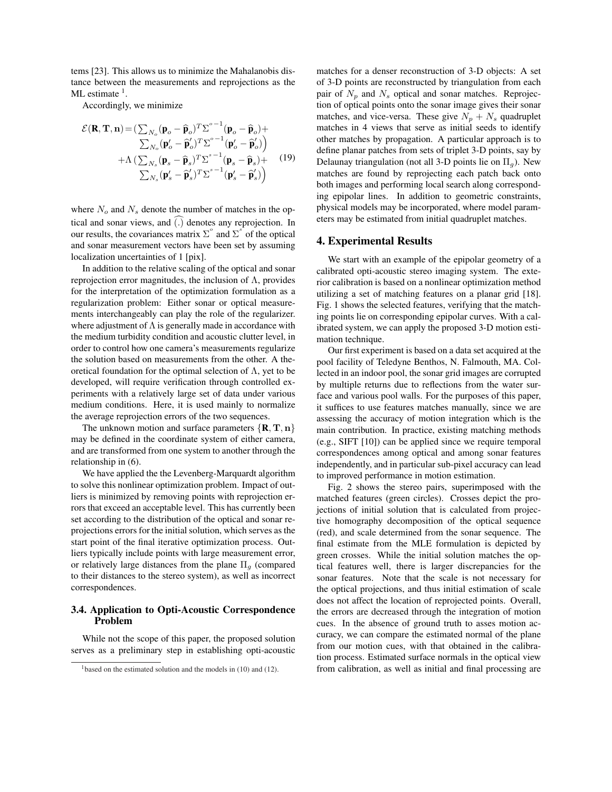tems [23]. This allows us to minimize the Mahalanobis distance between the measurements and reprojections as the  $ML$  estimate  $<sup>1</sup>$ .</sup>

Accordingly, we minimize

$$
\mathcal{E}(\mathbf{R}, \mathbf{T}, \mathbf{n}) = (\sum_{N_o} (\mathbf{p}_o - \widehat{\mathbf{p}}_o)^T \Sigma^{o-1} (\mathbf{p}_o - \widehat{\mathbf{p}}_o) + \sum_{N_o} (\mathbf{p}_o' - \widehat{\mathbf{p}}_o')^T \Sigma^{o-1} (\mathbf{p}_o' - \widehat{\mathbf{p}}_o') \newline + \Lambda \left( \sum_{N_s} (\mathbf{p}_s - \widehat{\mathbf{p}}_s)^T \Sigma^{s-1} (\mathbf{p}_s - \widehat{\mathbf{p}}_s) + \sum_{N_s} (\mathbf{p}_s' - \widehat{\mathbf{p}}_s')^T \Sigma^{s-1} (\mathbf{p}_s' - \widehat{\mathbf{p}}_s') \right)
$$
\n(19)

where  $N<sub>o</sub>$  and  $N<sub>s</sub>$  denote the number of matches in the optical and sonar views, and ( .) denotes any reprojection. In our results, the covariances matrix  $\Sigma^{\circ}$  and  $\Sigma^{\circ}$  of the optical and sonar measurement vectors have been set by assuming localization uncertainties of 1 [pix].

In addition to the relative scaling of the optical and sonar reprojection error magnitudes, the inclusion of Λ, provides for the interpretation of the optimization formulation as a regularization problem: Either sonar or optical measurements interchangeably can play the role of the regularizer. where adjustment of  $\Lambda$  is generally made in accordance with the medium turbidity condition and acoustic clutter level, in order to control how one camera's measurements regularize the solution based on measurements from the other. A theoretical foundation for the optimal selection of  $\Lambda$ , yet to be developed, will require verification through controlled experiments with a relatively large set of data under various medium conditions. Here, it is used mainly to normalize the average reprojection errors of the two sequences.

The unknown motion and surface parameters  $\{R, T, n\}$ may be defined in the coordinate system of either camera, and are transformed from one system to another through the relationship in (6).

We have applied the the Levenberg-Marquardt algorithm to solve this nonlinear optimization problem. Impact of outliers is minimized by removing points with reprojection errors that exceed an acceptable level. This has currently been set according to the distribution of the optical and sonar reprojections errors for the initial solution, which serves as the start point of the final iterative optimization process. Outliers typically include points with large measurement error, or relatively large distances from the plane <sup>Π</sup>*g* (compared to their distances to the stereo system), as well as incorrect correspondences.

## 3.4. Application to Opti-Acoustic Correspondence Problem

While not the scope of this paper, the proposed solution serves as a preliminary step in establishing opti-acoustic matches for a denser reconstruction of 3-D objects: A set of 3-D points are reconstructed by triangulation from each pair of  $N_p$  and  $N_s$  optical and sonar matches. Reprojection of optical points onto the sonar image gives their sonar matches, and vice-versa. These give  $N_p + N_s$  quadruplet matches in 4 views that serve as initial seeds to identify other matches by propagation. A particular approach is to define planar patches from sets of triplet 3-D points, say by Delaunay triangulation (not all 3-D points lie on  $\Pi_q$ ). New matches are found by reprojecting each patch back onto both images and performing local search along corresponding epipolar lines. In addition to geometric constraints, physical models may be incorporated, where model parameters may be estimated from initial quadruplet matches.

## 4. Experimental Results

We start with an example of the epipolar geometry of a calibrated opti-acoustic stereo imaging system. The exterior calibration is based on a nonlinear optimization method utilizing a set of matching features on a planar grid [18]. Fig. 1 shows the selected features, verifying that the matching points lie on corresponding epipolar curves. With a calibrated system, we can apply the proposed 3-D motion estimation technique.

Our first experiment is based on a data set acquired at the pool facility of Teledyne Benthos, N. Falmouth, MA. Collected in an indoor pool, the sonar grid images are corrupted by multiple returns due to reflections from the water surface and various pool walls. For the purposes of this paper, it suffices to use features matches manually, since we are assessing the accuracy of motion integration which is the main contribution. In practice, existing matching methods (e.g., SIFT [10]) can be applied since we require temporal correspondences among optical and among sonar features independently, and in particular sub-pixel accuracy can lead to improved performance in motion estimation.

Fig. 2 shows the stereo pairs, superimposed with the matched features (green circles). Crosses depict the projections of initial solution that is calculated from projective homography decomposition of the optical sequence (red), and scale determined from the sonar sequence. The final estimate from the MLE formulation is depicted by green crosses. While the initial solution matches the optical features well, there is larger discrepancies for the sonar features. Note that the scale is not necessary for the optical projections, and thus initial estimation of scale does not affect the location of reprojected points. Overall, the errors are decreased through the integration of motion cues. In the absence of ground truth to asses motion accuracy, we can compare the estimated normal of the plane from our motion cues, with that obtained in the calibration process. Estimated surface normals in the optical view from calibration, as well as initial and final processing are

<sup>&</sup>lt;sup>1</sup>based on the estimated solution and the models in (10) and (12).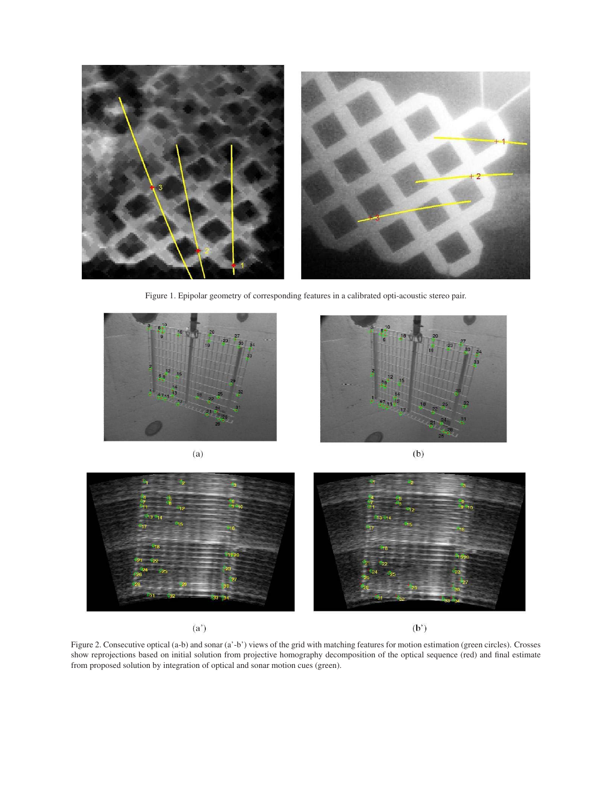

Figure 1. Epipolar geometry of corresponding features in a calibrated opti-acoustic stereo pair.









 $(a^{\prime})$ 

 $(b')$ 

Figure 2. Consecutive optical (a-b) and sonar (a'-b') views of the grid with matching features for motion estimation (green circles). Crosses show reprojections based on initial solution from projective homography decomposition of the optical sequence (red) and final estimate from proposed solution by integration of optical and sonar motion cues (green).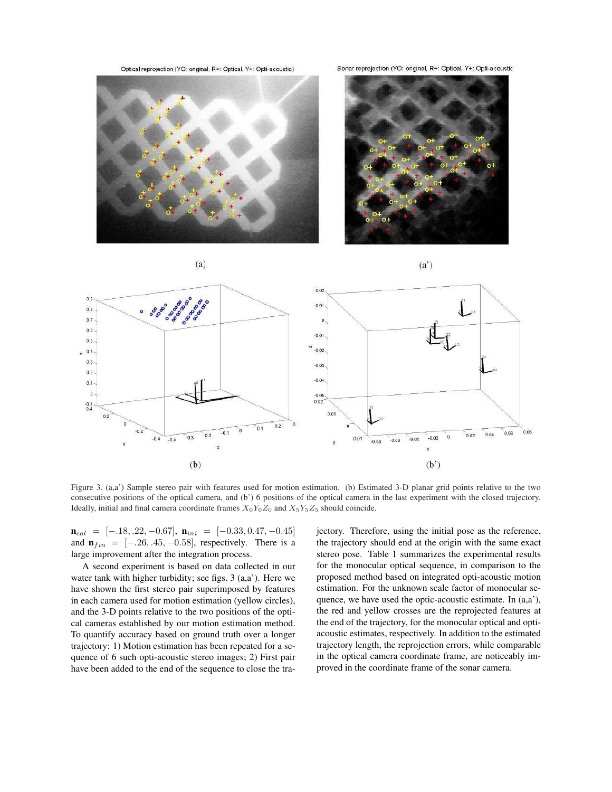Optical reprojection (YO: original, R+: Optical, Y+: Opti-acoustic)

Sonar reprojection (YO: original, R+: Optical, Y+: Opti-acoustic



 $(a)$ 



 $(a')$  $0.02$  $0.9$ · ogo ogo ogo  $0.01$  $0.8$  $0.7$  $\mathbf{0}$  $0.6$  $-0.01$  $0.5$  $-0.02$  $\mathbf{0}$  $0.3$  $-0.03$  $0.2$  $-0.04$  $0.1$ 0  $-0.05$  $0.02$  $-0.1$ <br> $0.4$  $0.0$  $0.2$  $0.2$ 0.06  $0.08$  $0.04$  $-0.5$  $0.02$  $-0.4$  $-0.3$  $-0.02$  $0.0$  $-0.4$  $-0.04$  $-0.06$  $-0.08$  $(b)$  $(b')$ 

Figure 3. (a,a') Sample stereo pair with features used for motion estimation. (b) Estimated 3-D planar grid points relative to the two consecutive positions of the optical camera, and (b') 6 positions of the optical camera in the last experiment with the closed trajectory. Ideally, initial and final camera coordinate frames  $X_0Y_0Z_0$  and  $X_5Y_5Z_5$  should coincide.

<sup>n</sup>*cal* = [−.18, .22, <sup>−</sup>0.67], <sup>n</sup>*ini* = [−0.33, <sup>0</sup>.47, <sup>−</sup>0.45] and  $\mathbf{n}_{fin} = [-.26, .45, -0.58]$ , respectively. There is a large improvement after the integration process.

A second experiment is based on data collected in our water tank with higher turbidity; see figs. 3 (a,a'). Here we have shown the first stereo pair superimposed by features in each camera used for motion estimation (yellow circles), and the 3-D points relative to the two positions of the optical cameras established by our motion estimation method. To quantify accuracy based on ground truth over a longer trajectory: 1) Motion estimation has been repeated for a sequence of 6 such opti-acoustic stereo images; 2) First pair have been added to the end of the sequence to close the trajectory. Therefore, using the initial pose as the reference, the trajectory should end at the origin with the same exact stereo pose. Table 1 summarizes the experimental results for the monocular optical sequence, in comparison to the proposed method based on integrated opti-acoustic motion estimation. For the unknown scale factor of monocular sequence, we have used the optic-acoustic estimate. In (a,a'), the red and yellow crosses are the reprojected features at the end of the trajectory, for the monocular optical and optiacoustic estimates, respectively. In addition to the estimated trajectory length, the reprojection errors, while comparable in the optical camera coordinate frame, are noticeably improved in the coordinate frame of the sonar camera.